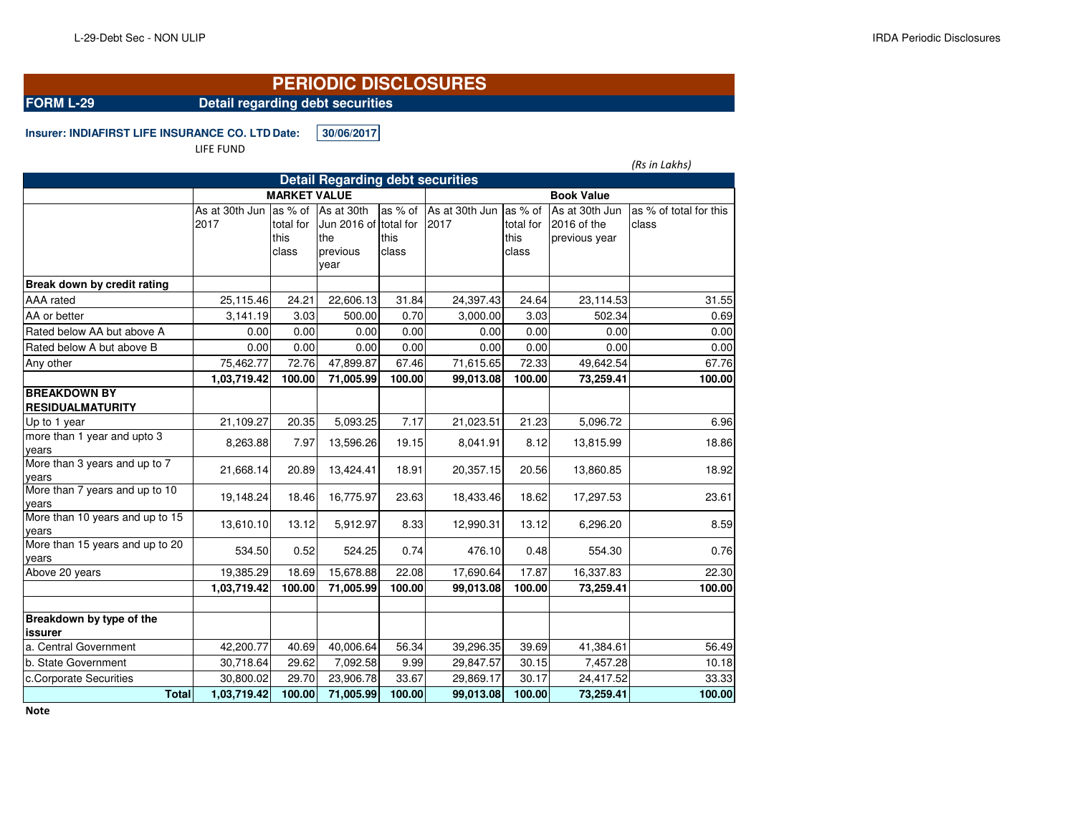## **PERIODIC DISCLOSURES**

**FORM L-29 Detail regarding debt securities**

**Insurer: INDIAFIRST LIFE INSURANCE CO. LTD.Date: 30/06/2017**

LIFE FUND

|                                                |                        |                            |                                                                        |                          |                        |                                       |                                                | (Rs in Lakhs)                   |  |  |
|------------------------------------------------|------------------------|----------------------------|------------------------------------------------------------------------|--------------------------|------------------------|---------------------------------------|------------------------------------------------|---------------------------------|--|--|
|                                                |                        |                            | <b>Detail Regarding debt securities</b>                                |                          |                        |                                       |                                                |                                 |  |  |
|                                                | <b>MARKET VALUE</b>    |                            |                                                                        |                          | <b>Book Value</b>      |                                       |                                                |                                 |  |  |
|                                                | As at 30th Jun<br>2017 | total for<br>this<br>class | as % of As at 30th<br>Jun 2016 of total for<br>the<br>previous<br>vear | as % of<br>this<br>class | As at 30th Jun<br>2017 | as % of<br>total for<br>this<br>class | As at 30th Jun<br>2016 of the<br>previous year | as % of total for this<br>class |  |  |
| Break down by credit rating                    |                        |                            |                                                                        |                          |                        |                                       |                                                |                                 |  |  |
| AAA rated                                      | 25,115.46              | 24.21                      | 22,606.13                                                              | 31.84                    | 24,397.43              | 24.64                                 | 23,114.53                                      | 31.55                           |  |  |
| AA or better                                   | 3.141.19               | 3.03                       | 500.00                                                                 | 0.70                     | 3,000.00               | 3.03                                  | 502.34                                         | 0.69                            |  |  |
| Rated below AA but above A                     | 0.00                   | 0.00                       | 0.00                                                                   | 0.00                     | 0.00                   | 0.00                                  | 0.00                                           | 0.00                            |  |  |
| Rated below A but above B                      | 0.00                   | 0.00                       | 0.00                                                                   | 0.00                     | 0.00                   | 0.00                                  | 0.00                                           | 0.00                            |  |  |
| Any other                                      | 75,462.77              | 72.76                      | 47,899.87                                                              | 67.46                    | 71,615.65              | 72.33                                 | 49,642.54                                      | 67.76                           |  |  |
|                                                | 1,03,719.42            | 100.00                     | 71,005.99                                                              | 100.00                   | 99,013.08              | 100.00                                | 73,259.41                                      | 100.00                          |  |  |
| <b>BREAKDOWN BY</b><br><b>RESIDUALMATURITY</b> |                        |                            |                                                                        |                          |                        |                                       |                                                |                                 |  |  |
| Up to 1 year                                   | 21,109.27              | 20.35                      | 5,093.25                                                               | 7.17                     | 21,023.51              | 21.23                                 | 5,096.72                                       | 6.96                            |  |  |
| more than 1 year and upto 3<br>years           | 8,263.88               | 7.97                       | 13,596.26                                                              | 19.15                    | 8,041.91               | 8.12                                  | 13,815.99                                      | 18.86                           |  |  |
| More than 3 years and up to 7<br>years         | 21,668.14              | 20.89                      | 13,424.41                                                              | 18.91                    | 20,357.15              | 20.56                                 | 13,860.85                                      | 18.92                           |  |  |
| More than 7 years and up to 10<br>years        | 19,148.24              | 18.46                      | 16,775.97                                                              | 23.63                    | 18,433.46              | 18.62                                 | 17,297.53                                      | 23.61                           |  |  |
| More than 10 years and up to 15<br>years       | 13,610.10              | 13.12                      | 5,912.97                                                               | 8.33                     | 12,990.31              | 13.12                                 | 6,296.20                                       | 8.59                            |  |  |
| More than 15 years and up to 20<br>years       | 534.50                 | 0.52                       | 524.25                                                                 | 0.74                     | 476.10                 | 0.48                                  | 554.30                                         | 0.76                            |  |  |
| Above 20 years                                 | 19,385.29              | 18.69                      | 15,678.88                                                              | 22.08                    | 17,690.64              | 17.87                                 | 16,337.83                                      | 22.30                           |  |  |
|                                                | 1,03,719.42            | 100.00                     | 71,005.99                                                              | 100.00                   | 99,013.08              | 100.00                                | 73,259.41                                      | 100.00                          |  |  |
| Breakdown by type of the<br><b>issurer</b>     |                        |                            |                                                                        |                          |                        |                                       |                                                |                                 |  |  |
| a. Central Government                          | 42,200.77              | 40.69                      | 40,006.64                                                              | 56.34                    | 39,296.35              | 39.69                                 | 41,384.61                                      | 56.49                           |  |  |
| b. State Government                            | 30,718.64              | 29.62                      | 7,092.58                                                               | 9.99                     | 29,847.57              | 30.15                                 | 7,457.28                                       | 10.18                           |  |  |
| c.Corporate Securities                         | 30,800.02              | 29.70                      | 23,906.78                                                              | 33.67                    | 29,869.17              | 30.17                                 | 24,417.52                                      | 33.33                           |  |  |
| <b>Total</b>                                   | 1,03,719.42            | 100.00                     | 71,005.99                                                              | 100.00                   | 99,013.08              | 100.00                                | 73,259.41                                      | 100.00                          |  |  |

**Note**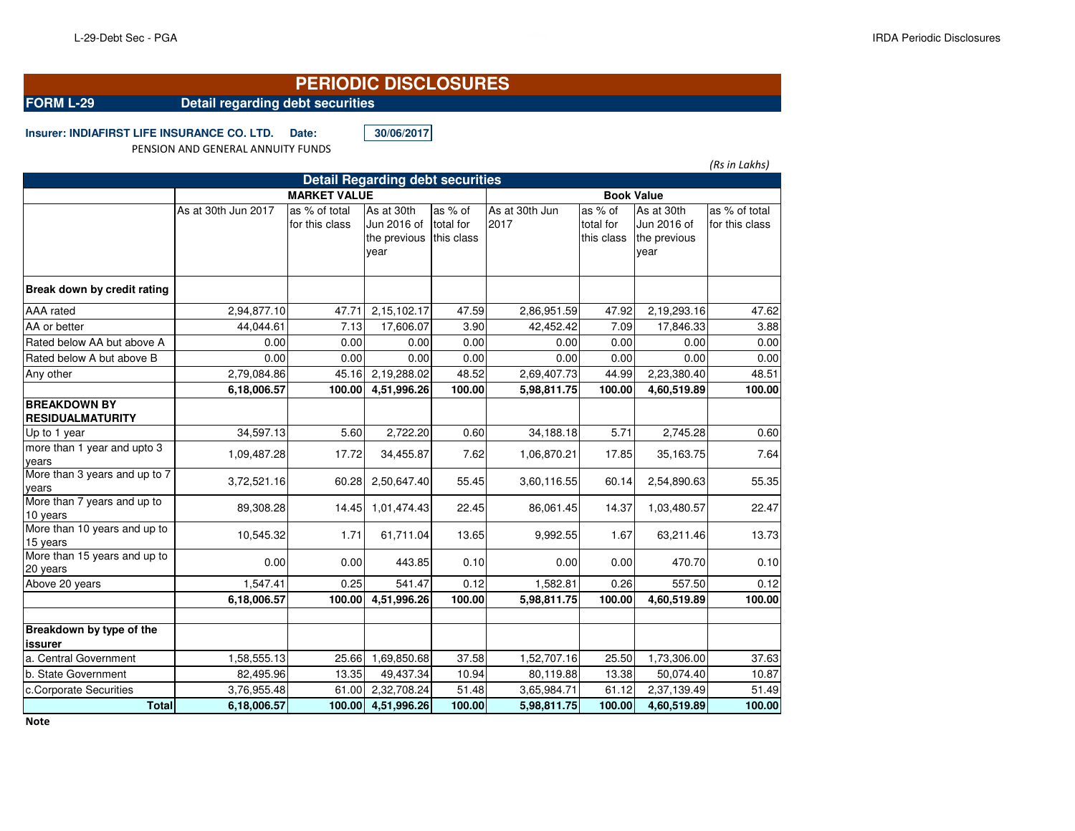## **PERIODIC DISCLOSURES**

## **FORM L-29 Detail regarding debt securities**

**Insurer: INDIAFIRST LIFE INSURANCE CO. LTD. Date: 30/06/2017**

PENSION AND GENERAL ANNUITY FUNDS

|                                                |                     |                                 |                           |                                    |                        |                                    |                           | (Rs in Lakhs)                   |  |
|------------------------------------------------|---------------------|---------------------------------|---------------------------|------------------------------------|------------------------|------------------------------------|---------------------------|---------------------------------|--|
| <b>Detail Regarding debt securities</b>        |                     |                                 |                           |                                    |                        |                                    |                           |                                 |  |
|                                                |                     | <b>Book Value</b>               |                           |                                    |                        |                                    |                           |                                 |  |
|                                                | As at 30th Jun 2017 | as % of total<br>for this class | As at 30th<br>Jun 2016 of | as % of<br>total for<br>this class | As at 30th Jun<br>2017 | as % of<br>total for<br>this class | As at 30th<br>Jun 2016 of | as % of total<br>for this class |  |
|                                                |                     |                                 | the previous<br>year      |                                    |                        |                                    | the previous<br>year      |                                 |  |
| Break down by credit rating                    |                     |                                 |                           |                                    |                        |                                    |                           |                                 |  |
| <b>AAA</b> rated                               | 2,94,877.10         | 47.71                           | 2,15,102.17               | 47.59                              | 2,86,951.59            | 47.92                              | 2,19,293.16               | 47.62                           |  |
| AA or better                                   | 44,044.61           | 7.13                            | 17,606.07                 | 3.90                               | 42,452.42              | 7.09                               | 17,846.33                 | 3.88                            |  |
| Rated below AA but above A                     | 0.00                | 0.00                            | 0.00                      | 0.00                               | 0.00                   | 0.00                               | 0.00                      | 0.00                            |  |
| Rated below A but above B                      | 0.00                | 0.00                            | 0.00                      | 0.00                               | 0.00                   | 0.00                               | 0.00                      | 0.00                            |  |
| Any other                                      | 2,79,084.86         | 45.16                           | 2,19,288.02               | 48.52                              | 2,69,407.73            | 44.99                              | 2,23,380.40               | 48.51                           |  |
|                                                | 6,18,006.57         | 100.00                          | 4,51,996.26               | 100.00                             | 5,98,811.75            | 100.00                             | 4,60,519.89               | 100.00                          |  |
| <b>BREAKDOWN BY</b><br><b>RESIDUALMATURITY</b> |                     |                                 |                           |                                    |                        |                                    |                           |                                 |  |
| Up to 1 year                                   | 34,597.13           | 5.60                            | 2,722.20                  | 0.60                               | 34,188.18              | 5.71                               | 2,745.28                  | 0.60                            |  |
| more than 1 year and upto 3<br>years           | 1,09,487.28         | 17.72                           | 34,455.87                 | 7.62                               | 1,06,870.21            | 17.85                              | 35,163.75                 | 7.64                            |  |
| More than 3 years and up to 7<br>years         | 3,72,521.16         | 60.28                           | 2,50,647.40               | 55.45                              | 3,60,116.55            | 60.14                              | 2,54,890.63               | 55.35                           |  |
| More than 7 years and up to<br>10 years        | 89,308.28           | 14.45                           | 1,01,474.43               | 22.45                              | 86,061.45              | 14.37                              | 1,03,480.57               | 22.47                           |  |
| More than 10 years and up to<br>15 years       | 10,545.32           | 1.71                            | 61,711.04                 | 13.65                              | 9,992.55               | 1.67                               | 63,211.46                 | 13.73                           |  |
| More than 15 years and up to<br>20 years       | 0.00                | 0.00                            | 443.85                    | 0.10                               | 0.00                   | 0.00                               | 470.70                    | 0.10                            |  |
| Above 20 years                                 | 1,547.41            | 0.25                            | 541.47                    | 0.12                               | 1,582.81               | 0.26                               | 557.50                    | 0.12                            |  |
|                                                | 6,18,006.57         | 100.00                          | 4,51,996.26               | 100.00                             | 5,98,811.75            | 100.00                             | 4,60,519.89               | 100.00                          |  |
|                                                |                     |                                 |                           |                                    |                        |                                    |                           |                                 |  |
| Breakdown by type of the<br><b>issurer</b>     |                     |                                 |                           |                                    |                        |                                    |                           |                                 |  |
| a. Central Government                          | 1,58,555.13         | 25.66                           | 1,69,850.68               | 37.58                              | 1,52,707.16            | 25.50                              | 1,73,306.00               | 37.63                           |  |
| b. State Government                            | 82,495.96           | 13.35                           | 49,437.34                 | 10.94                              | 80,119.88              | 13.38                              | 50,074.40                 | 10.87                           |  |
| c.Corporate Securities                         | 3,76,955.48         | 61.00                           | 2,32,708.24               | 51.48                              | 3,65,984.71            | 61.12                              | 2,37,139.49               | 51.49                           |  |
| <b>Total</b>                                   | 6,18,006.57         | 100.00                          | 4,51,996.26               | 100.00                             | 5,98,811.75            | 100.00                             | 4,60,519.89               | 100.00                          |  |

**Note**